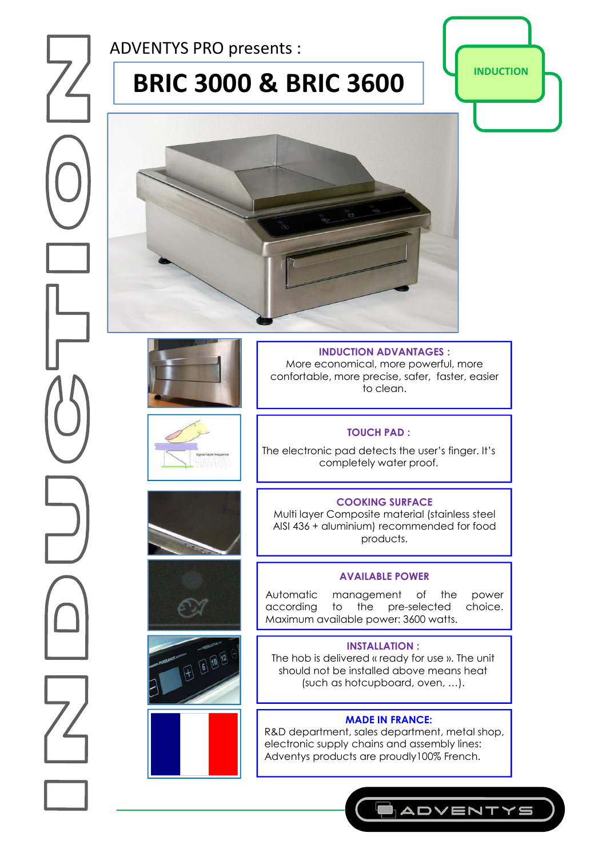ADVENTYS PRO presents :

# **BRIC 3000 & BRIC 3600 | PERIC 3000**







F 6 10 12

**INDUCTION ADVANTAGES :**  More economical, more powerful, more confortable, more precise, safer, faster, easier to clean.

### **TOUCH PAD :**

The electronic pad detects the user's finger. It's completely water proof.

## **COOKING SURFACE**

Multi layer Composite material (stainless steel AISI 436 + aluminium) recommended for food products.

#### **AVAILABLE POWER**

Automatic management of the power<br>according to the pre-selected choice. the pre-selected Maximum available power: 3600 watts.

#### **INSTALLATION :**

The hob is delivered « ready for use ». The unit should not be installed above means heat (such as hotcupboard, oven, …).

#### **MADE IN FRANCE:**

R&D department, sales department, metal shop, electronic supply chains and assembly lines: Adventys products are proudly100% French.